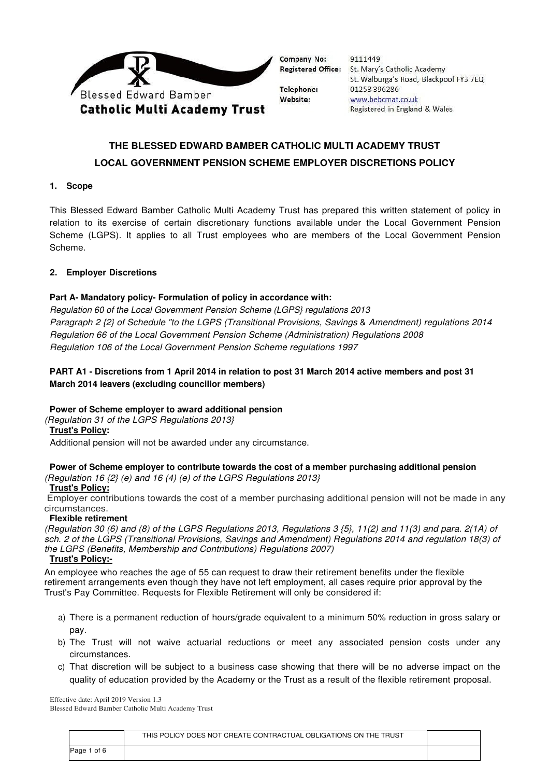

Company No: **Registered Office:** 

Telephone: Website:

9111449 St. Mary's Catholic Academy St. Walburga's Road, Blackpool FY3 7EQ 01253 396286 www.bebcmat.co.uk Registered in England & Wales

# **THE BLESSED EDWARD BAMBER CATHOLIC MULTI ACADEMY TRUST LOCAL GOVERNMENT PENSION SCHEME EMPLOYER DISCRETIONS POLICY**

## **1. Scope**

This Blessed Edward Bamber Catholic Multi Academy Trust has prepared this written statement of policy in relation to its exercise of certain discretionary functions available under the Local Government Pension Scheme (LGPS). It applies to all Trust employees who are members of the Local Government Pension Scheme.

# **2. Employer Discretions**

# **Part A- Mandatory policy- Formulation of policy in accordance with:**

Regulation 60 of the Local Government Pension Scheme (LGPS} regulations 2013 Paragraph 2 {2} of Schedule "to the LGPS (Transitional Provisions, Savings & Amendment) regulations 2014 Regulation 66 of the Local Government Pension Scheme (Administration) Regulations 2008 Regulation 106 of the Local Government Pension Scheme regulations 1997

# **PART A1 - Discretions from 1 April 2014 in relation to post 31 March 2014 active members and post 31 March 2014 leavers (excluding councillor members)**

# **Power of Scheme employer to award additional pension**

(Regulation 31 of the LGPS Regulations 2013}

**Trust's Policy:**

Additional pension will not be awarded under any circumstance.

## **Power of Scheme employer to contribute towards the cost of a member purchasing additional pension** (Regulation 16  $\{2\}$  (e) and 16 (4) (e) of the LGPS Regulations 2013}

# **Trust's Policy:**

 Employer contributions towards the cost of a member purchasing additional pension will not be made in any circumstances.

#### **Flexible retirement**

(Regulation 30 (6) and (8) of the LGPS Regulations 2013, Regulations 3 {5}, 11(2) and 11(3) and para. 2(1A) of sch. 2 of the LGPS (Transitional Provisions, Savings and Amendment) Regulations 2014 and regulation 18(3) of the LGPS (Benefits, Membership and Contributions) Regulations 2007)

**Trust's Policy:-**

An employee who reaches the age of 55 can request to draw their retirement benefits under the flexible retirement arrangements even though they have not left employment, all cases require prior approval by the Trust's Pay Committee. Requests for Flexible Retirement will only be considered if:

- a) There is a permanent reduction of hours/grade equivalent to a minimum 50% reduction in gross salary or pay.
- b) The Trust will not waive actuarial reductions or meet any associated pension costs under any circumstances.
- c) That discretion will be subject to a business case showing that there will be no adverse impact on the quality of education provided by the Academy or the Trust as a result of the flexible retirement proposal.

|              | THIS POLICY DOES NOT CREATE CONTRACTUAL OBLIGATIONS ON THE TRUST |  |
|--------------|------------------------------------------------------------------|--|
| of 6<br>Page |                                                                  |  |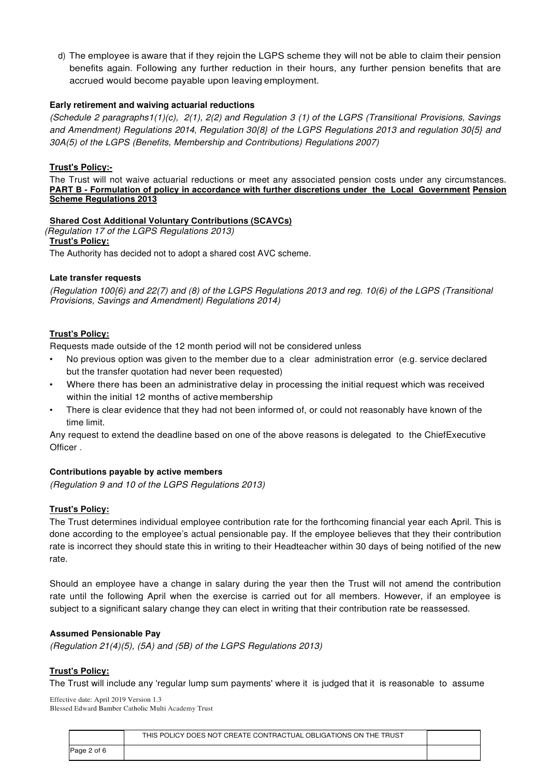d) The employee is aware that if they rejoin the LGPS scheme they will not be able to claim their pension benefits again. Following any further reduction in their hours, any further pension benefits that are accrued would become payable upon leaving employment.

## **Early retirement and waiving actuarial reductions**

(Schedule 2 paragraphs1(1)(c), 2(1), 2(2) and Regulation 3 (1) of the LGPS (Transitional Provisions, Savings and Amendment) Regulations 2014, Regulation 30{8} of the LGPS Regulations 2013 and regulation 30{5} and 30A(5) of the LGPS (Benefits, Membership and Contributions) Regulations 2007)

## **Trust's Policy:-**

The Trust will not waive actuarial reductions or meet any associated pension costs under any circumstances. **PART B - Formulation of policy in accordance with further discretions under the Local Government Pension Scheme Regulations 2013**

## **Shared Cost Additional Voluntary Contributions (SCAVCs)**

(Regulation 17 of the LGPS Regulations 2013)

#### **Trust's Policy:**

The Authority has decided not to adopt a shared cost AVC scheme.

## **Late transfer requests**

(Regulation 100{6) and 22(7) and (8) of the LGPS Regulations 2013 and reg. 10(6) of the LGPS (Transitional Provisions, Savings and Amendment) Regulations 2014)

## **Trust's Policy:**

Requests made outside of the 12 month period will not be considered unless

- No previous option was given to the member due to a clear administration error (e.g. service declared but the transfer quotation had never been requested)
- Where there has been an administrative delay in processing the initial request which was received within the initial 12 months of active membership
- There is clear evidence that they had not been informed of, or could not reasonably have known of the time limit.

Any request to extend the deadline based on one of the above reasons is delegated to the ChiefExecutive Officer .

# **Contributions payable by active members**

(Regulation 9 and 10 of the LGPS Regulations 2013)

# **Trust's Policy:**

The Trust determines individual employee contribution rate for the forthcoming financial year each April. This is done according to the employee's actual pensionable pay. If the employee believes that they their contribution rate is incorrect they should state this in writing to their Headteacher within 30 days of being notified of the new rate.

Should an employee have a change in salary during the year then the Trust will not amend the contribution rate until the following April when the exercise is carried out for all members. However, if an employee is subject to a significant salary change they can elect in writing that their contribution rate be reassessed.

#### **Assumed Pensionable Pay**

(Regulation 21(4)(5), (5A) and (5B) of the LGPS Regulations 2013)

#### **Trust's Policy:**

The Trust will include any 'regular lump sum payments' where it is judged that it is reasonable to assume

|             | THIS POLICY DOES NOT CREATE CONTRACTUAL OBLIGATIONS ON THE TRUST |  |
|-------------|------------------------------------------------------------------|--|
| Page 2 of 6 |                                                                  |  |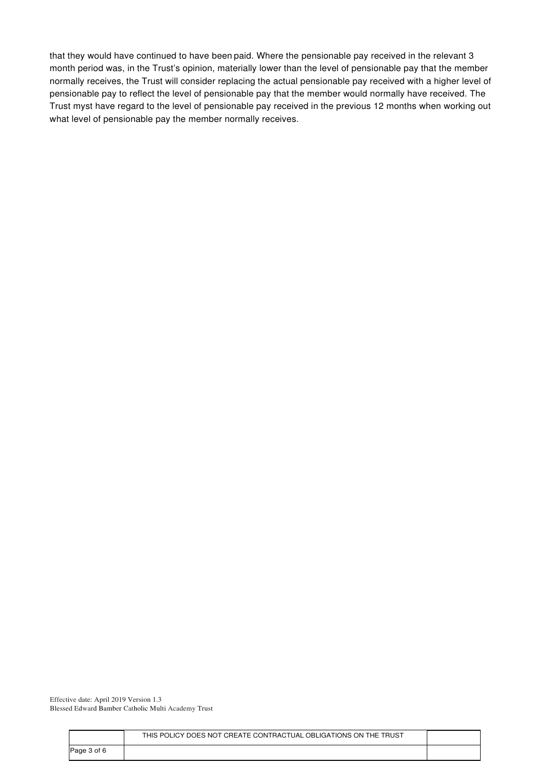that they would have continued to have been paid. Where the pensionable pay received in the relevant 3 month period was, in the Trust's opinion, materially lower than the level of pensionable pay that the member normally receives, the Trust will consider replacing the actual pensionable pay received with a higher level of pensionable pay to reflect the level of pensionable pay that the member would normally have received. The Trust myst have regard to the level of pensionable pay received in the previous 12 months when working out what level of pensionable pay the member normally receives.

| Page 3 of 6 |  |
|-------------|--|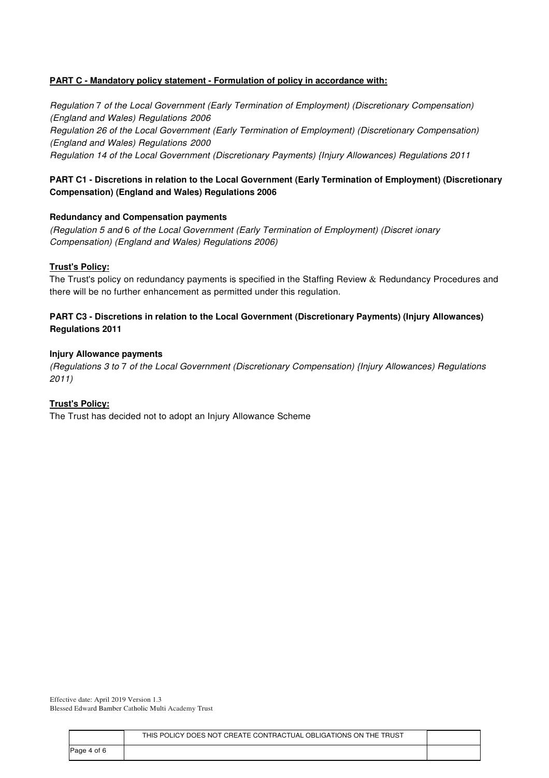# **PART C - Mandatory policy statement - Formulation of policy in accordance with:**

Regulation 7 of the Local Government (Early Termination of Employment) (Discretionary Compensation) (England and Wales) Regulations 2006 Regulation 26 of the Local Government (Early Termination of Employment) (Discretionary Compensation) (England and Wales) Regulations 2000 Regulation 14 of the Local Government (Discretionary Payments) {Injury Allowances) Regulations 2011

# **PART C1 - Discretions in relation to the Local Government (Early Termination of Employment) (Discretionary Compensation) (England and Wales) Regulations 2006**

# **Redundancy and Compensation payments**

(Regulation 5 and 6 of the Local Government (Early Termination of Employment) (Discret ionary Compensation) (England and Wales) Regulations 2006)

# **Trust's Policy:**

The Trust's policy on redundancy payments is specified in the Staffing Review  $\&$  Redundancy Procedures and there will be no further enhancement as permitted under this regulation.

# **PART C3 - Discretions in relation to the Local Government (Discretionary Payments) (Injury Allowances) Regulations 2011**

## **Injury Allowance payments**

(Regulations 3 to 7 of the Local Government (Discretionary Compensation) {Injury Allowances) Regulations 2011)

# **Trust's Policy:**

The Trust has decided not to adopt an Injury Allowance Scheme

|             | THIS POLICY DOES NOT CREATE CONTRACTUAL OBLIGATIONS ON THE TRUST |  |
|-------------|------------------------------------------------------------------|--|
| Page 4 of 6 |                                                                  |  |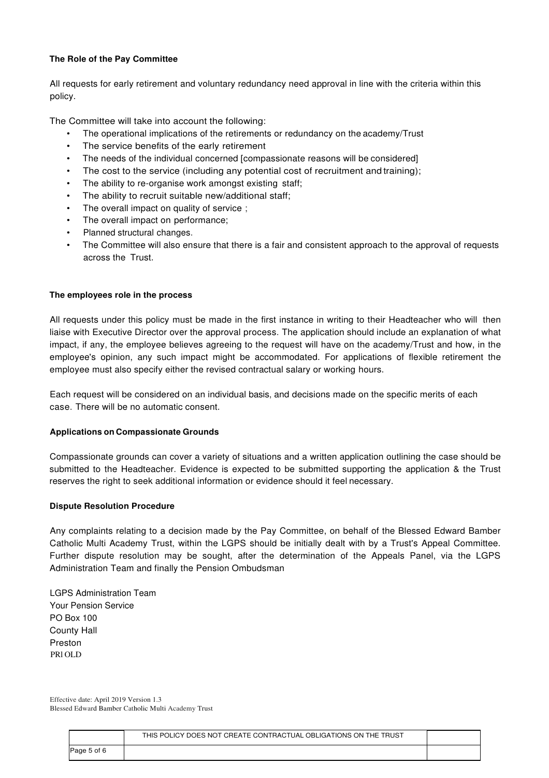## **The Role of the Pay Committee**

All requests for early retirement and voluntary redundancy need approval in line with the criteria within this policy.

The Committee will take into account the following:

- The operational implications of the retirements or redundancy on the academy/Trust
- The service benefits of the early retirement
- The needs of the individual concerned [compassionate reasons will be considered]
- The cost to the service (including any potential cost of recruitment and training);
- The ability to re-organise work amongst existing staff;
- The ability to recruit suitable new/additional staff;
- The overall impact on quality of service;
- The overall impact on performance;
- Planned structural changes.
- The Committee will also ensure that there is a fair and consistent approach to the approval of requests across the Trust.

## **The employees role in the process**

All requests under this policy must be made in the first instance in writing to their Headteacher who will then liaise with Executive Director over the approval process. The application should include an explanation of what impact, if any, the employee believes agreeing to the request will have on the academy/Trust and how, in the employee's opinion, any such impact might be accommodated. For applications of flexible retirement the employee must also specify either the revised contractual salary or working hours.

Each request will be considered on an individual basis, and decisions made on the specific merits of each case. There will be no automatic consent.

#### **Applications on Compassionate Grounds**

Compassionate grounds can cover a variety of situations and a written application outlining the case should be submitted to the Headteacher. Evidence is expected to be submitted supporting the application & the Trust reserves the right to seek additional information or evidence should it feel necessary.

#### **Dispute Resolution Procedure**

Any complaints relating to a decision made by the Pay Committee, on behalf of the Blessed Edward Bamber Catholic Multi Academy Trust, within the LGPS should be initially dealt with by a Trust's Appeal Committee. Further dispute resolution may be sought, after the determination of the Appeals Panel, via the LGPS Administration Team and finally the Pension Ombudsman

LGPS Administration Team Your Pension Service PO Box 100 County Hall Preston PRl OLD

|             | THIS POLICY DOES NOT CREATE CONTRACTUAL OBLIGATIONS ON THE TRUST |  |
|-------------|------------------------------------------------------------------|--|
| Page 5 of 6 |                                                                  |  |